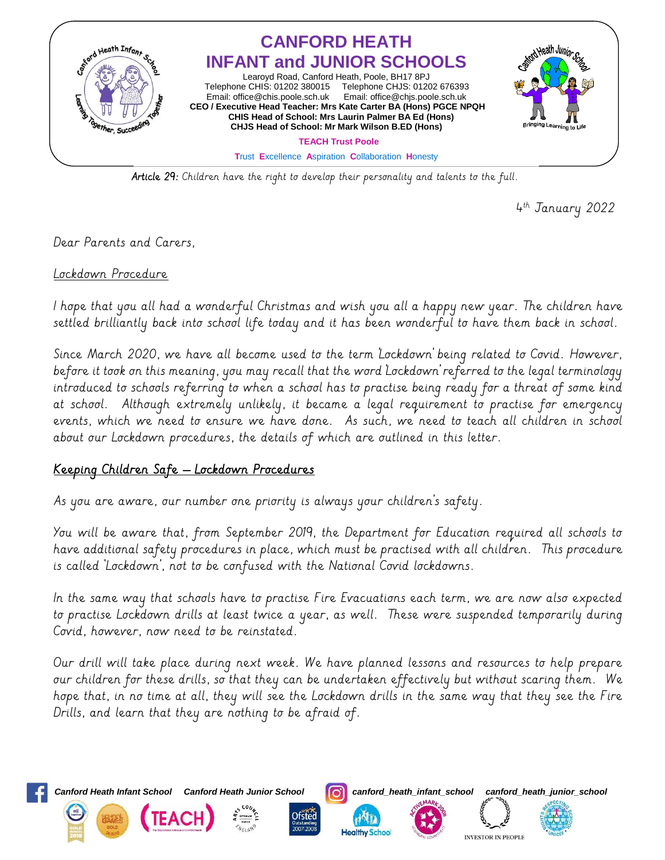

Article 29: Children have the right to develop their personality and talents to the full.

4 th January 2022

Dear Parents and Carers,

Lockdown Procedure

I hope that you all had a wonderful Christmas and wish you all a happy new year. The children have settled brilliantly back into school life today and it has been wonderful to have them back in school.

Since March 2020, we have all become used to the term 'Lockdown' being related to Covid. However, before it took on this meaning, you may recall that the word 'Lockdown' referred to the legal terminology introduced to schools referring to when a school has to practise being ready for a threat of some kind at school. Although extremely unlikely, it became a legal requirement to practise for emergency events, which we need to ensure we have done. As such, we need to teach all children in school about our Lockdown procedures, the details of which are outlined in this letter.

## Keeping Children Safe – Lockdown Procedures

As you are aware, our number one priority is always your children's safety.

You will be aware that, from September 2019, the Department for Education required all schools to have additional safety procedures in place, which must be practised with all children. This procedure is called 'Lockdown', not to be confused with the National Covid lockdowns.

In the same way that schools have to practise Fire Evacuations each term, we are now also expected to practise Lockdown drills at least twice a year, as well. These were suspended temporarily during Covid, however, now need to be reinstated.

Our drill will take place during next week. We have planned lessons and resources to help prepare our children for these drills, so that they can be undertaken effectively but without scaring them. We hope that, in no time at all, they will see the Lockdown drills in the same way that they see the Fire Drills, and learn that they are nothing to be afraid of.

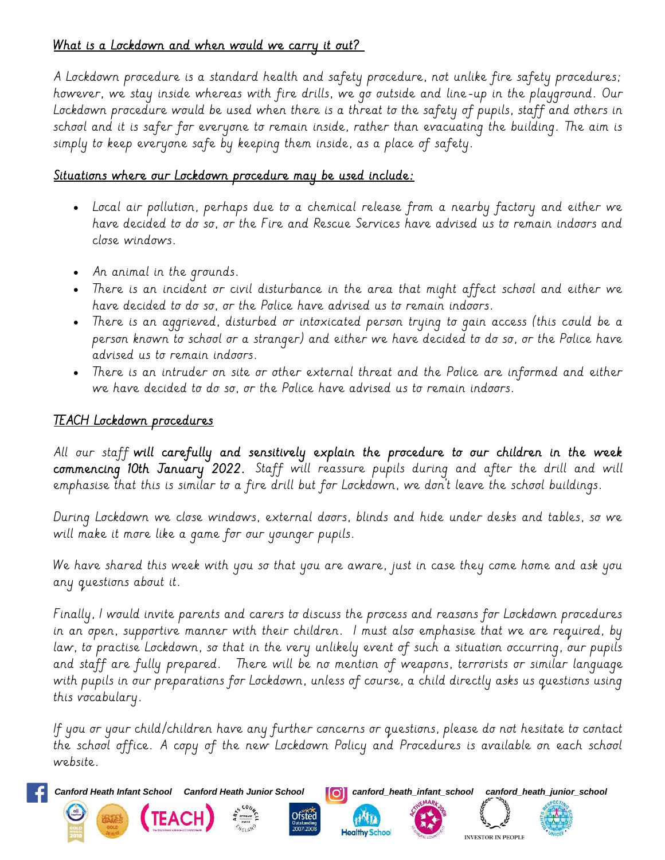## What is a Lockdown and when would we carry it out?

A Lockdown procedure is a standard health and safety procedure, not unlike fire safety procedures; however, we stay inside whereas with fire drills, we go outside and line-up in the playground. Our Lockdown procedure would be used when there is a threat to the safety of pupils, staff and others in school and it is safer for everyone to remain inside, rather than evacuating the building. The aim is simply to keep everyone safe by keeping them inside, as a place of safety.

## Situations where our Lockdown procedure may be used include:

- Local air pollution, perhaps due to a chemical release from a nearby factory and either we have decided to do so, or the Fire and Rescue Services have advised us to remain indoors and close windows.
- An animal in the grounds.
- There is an incident or civil disturbance in the area that might affect school and either we have decided to do so, or the Police have advised us to remain indoors.
- There is an aggrieved, disturbed or intoxicated person trying to gain access (this could be a person known to school or a stranger) and either we have decided to do so, or the Police have advised us to remain indoors.
- There is an intruder on site or other external threat and the Police are informed and either we have decided to do so, or the Police have advised us to remain indoors.

## TEACH Lockdown procedures

All our staff will carefully and sensitively explain the procedure to our children in the week commencing 10th January 2022. Staff will reassure pupils during and after the drill and will emphasise that this is similar to a fire drill but for Lockdown, we don't leave the school buildings.

During Lockdown we close windows, external doors, blinds and hide under desks and tables, so we will make it more like a game for our younger pupils.

We have shared this week with you so that you are aware, just in case they come home and ask you any questions about it.

Finally, I would invite parents and carers to discuss the process and reasons for Lockdown procedures in an open, supportive manner with their children. I must also emphasise that we are required, by law, to practise Lockdown, so that in the very unlikely event of such a situation occurring, our pupils and staff are fully prepared. There will be no mention of weapons, terrorists or similar language with pupils in our preparations for Lockdown, unless of course, a child directly asks us questions using this vocabulary.

If you or your child/children have any further concerns or questions, please do not hesitate to contact the school office. A copy of the new Lockdown Policy and Procedures is available on each school website.





**Ofsted**